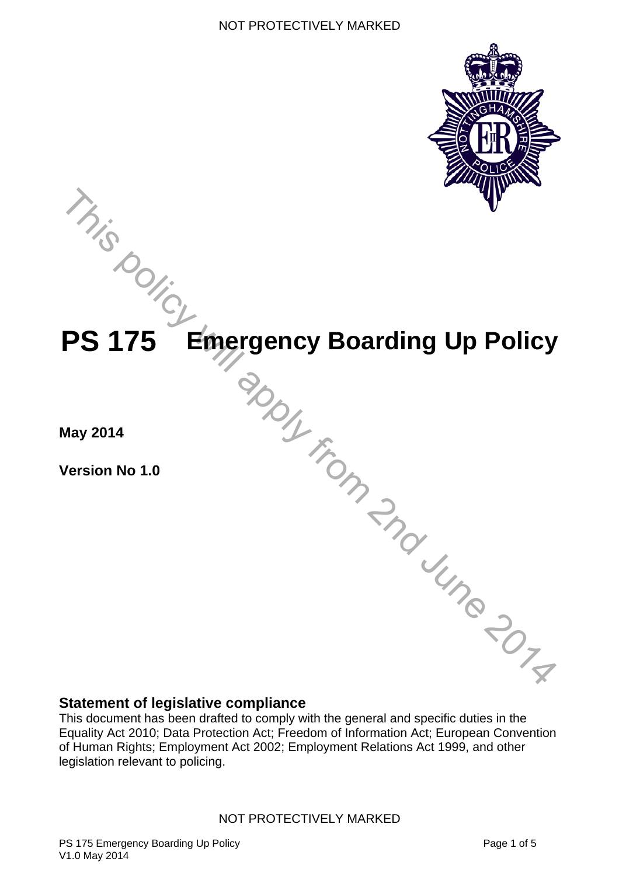



The PROS From 2nd Une 2014

**May 2014** 

**Version No 1.0** 

### **Statement of legislative compliance**

This document has been drafted to comply with the general and specific duties in the Equality Act 2010; Data Protection Act; Freedom of Information Act; European Convention of Human Rights; Employment Act 2002; Employment Relations Act 1999, and other legislation relevant to policing.

#### NOT PROTECTIVELY MARKED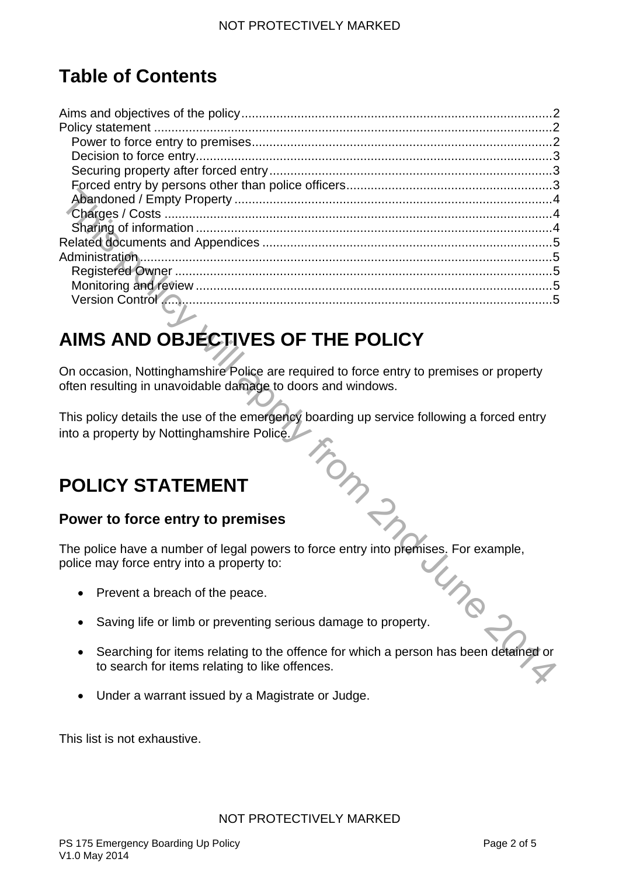# **Table of Contents**

| AIMS AND OBJECTIVES OF THE POLICY                                                         |  |  |  |
|-------------------------------------------------------------------------------------------|--|--|--|
|                                                                                           |  |  |  |
| On occasion, Nottinghamshire Police are required to force entry to premises or property   |  |  |  |
| often resulting in unavoidable damage to doors and windows.                               |  |  |  |
|                                                                                           |  |  |  |
| This policy details the use of the emergency boarding up service following a forced entry |  |  |  |
| into a property by Nottinghamshire Police.                                                |  |  |  |
|                                                                                           |  |  |  |
|                                                                                           |  |  |  |
|                                                                                           |  |  |  |
| <b>POLICY STATEMENT</b>                                                                   |  |  |  |
|                                                                                           |  |  |  |
| Power to force entry to premises                                                          |  |  |  |
| in my                                                                                     |  |  |  |
| The police have a number of legal powers to force entry into premises. For example,       |  |  |  |
| police may force entry into a property to:                                                |  |  |  |
|                                                                                           |  |  |  |
|                                                                                           |  |  |  |
| Prevent a breach of the peace.                                                            |  |  |  |
|                                                                                           |  |  |  |
| Saving life or limb or preventing serious damage to property.                             |  |  |  |
|                                                                                           |  |  |  |
| Searching for items relating to the offence for which a person has been detained or       |  |  |  |
| to search for items relating to like offences.                                            |  |  |  |
|                                                                                           |  |  |  |

# <span id="page-1-0"></span>**AIMS AND OBJECTIVES OF THE POLICY**

## <span id="page-1-1"></span>**POLICY STATEMENT**

### <span id="page-1-2"></span>**Power to force entry to premises**

- Prevent a breach of the peace.
- Saving life or limb or preventing serious damage to property.
- Searching for items relating to the offence for which a person has been detained or to search for items relating to like offences.
- Under a warrant issued by a Magistrate or Judge.

This list is not exhaustive.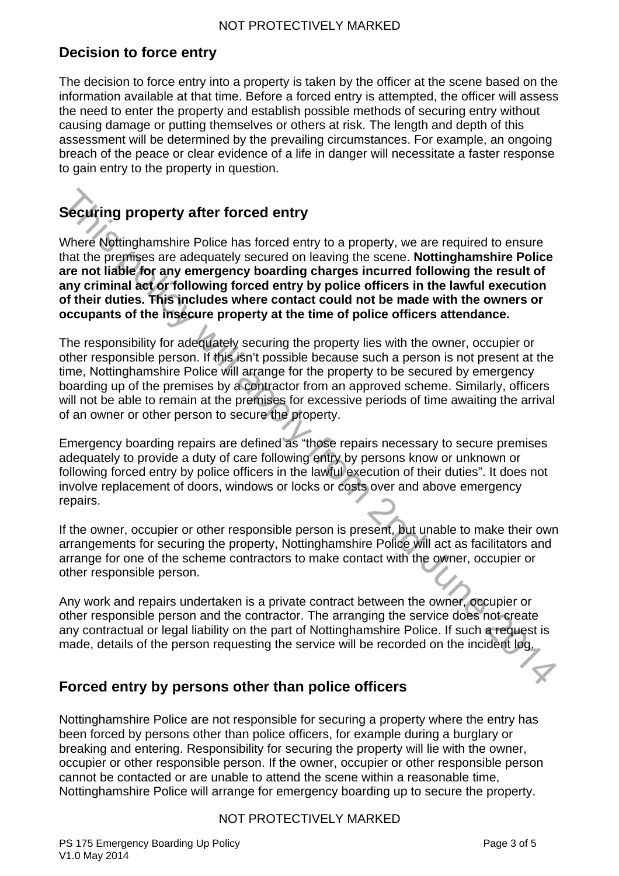## <span id="page-2-0"></span>**Decision to force entry**

The decision to force entry into a property is taken by the officer at the scene based on the information available at that time. Before a forced entry is attempted, the officer will assess the need to enter the property and establish possible methods of securing entry without causing damage or putting themselves or others at risk. The length and depth of this assessment will be determined by the prevailing circumstances. For example, an ongoing breach of the peace or clear evidence of a life in danger will necessitate a faster response to gain entry to the property in question.

## <span id="page-2-1"></span>**Securing property after forced entry**

Where Nottinghamshire Police has forced entry to a property, we are required to ensure that the premises are adequately secured on leaving the scene. **Nottinghamshire Police are not liable for any emergency boarding charges incurred following the result of any criminal act or following forced entry by police officers in the lawful execution of their duties. This includes where contact could not be made with the owners or occupants of the insecure property at the time of police officers attendance.**

Securing property after forced entry<br>
Where Notinghamshire Police has forced entry<br>
Where Notinghamshire Police has forced entry<br>
to a property, we are required to ensure<br>
that the premises are adequately secured on leavin The responsibility for adequately securing the property lies with the owner, occupier or other responsible person. If this isn't possible because such a person is not present at the time, Nottinghamshire Police will arrange for the property to be secured by emergency boarding up of the premises by a contractor from an approved scheme. Similarly, officers will not be able to remain at the premises for excessive periods of time awaiting the arrival of an owner or other person to secure the property.

Emergency boarding repairs are defined as "those repairs necessary to secure premises adequately to provide a duty of care following entry by persons know or unknown or following forced entry by police officers in the lawful execution of their duties". It does not involve replacement of doors, windows or locks or costs over and above emergency repairs.

If the owner, occupier or other responsible person is present, but unable to make their own arrangements for securing the property, Nottinghamshire Police will act as facilitators and arrange for one of the scheme contractors to make contact with the owner, occupier or other responsible person.

Any work and repairs undertaken is a private contract between the owner, occupier or other responsible person and the contractor. The arranging the service does not create any contractual or legal liability on the part of Nottinghamshire Police. If such a request is made, details of the person requesting the service will be recorded on the incident log.

### <span id="page-2-2"></span>**Forced entry by persons other than police officers**

Nottinghamshire Police are not responsible for securing a property where the entry has been forced by persons other than police officers, for example during a burglary or breaking and entering. Responsibility for securing the property will lie with the owner, occupier or other responsible person. If the owner, occupier or other responsible person cannot be contacted or are unable to attend the scene within a reasonable time, Nottinghamshire Police will arrange for emergency boarding up to secure the property.

#### NOT PROTECTIVELY MARKED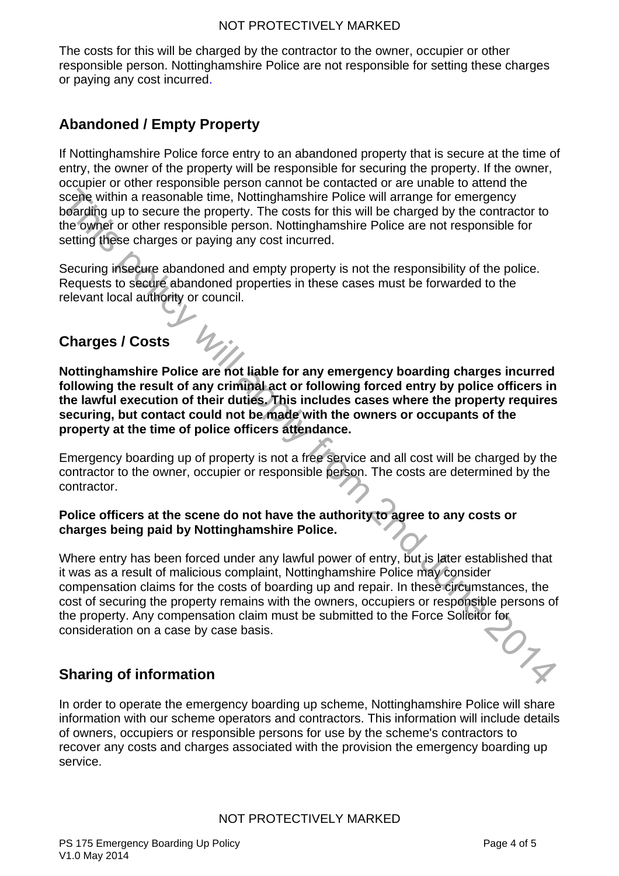The costs for this will be charged by the contractor to the owner, occupier or other responsible person. Nottinghamshire Police are not responsible for setting these charges or paying any cost incurred.

## <span id="page-3-0"></span>**Abandoned / Empty Property**

If Nottinghamshire Police force entry to an abandoned property that is secure at the time of entry, the owner of the property will be responsible for securing the property. If the owner, occupier or other responsible person cannot be contacted or are unable to attend the scene within a reasonable time, Nottinghamshire Police will arrange for emergency boarding up to secure the property. The costs for this will be charged by the contractor to the owner or other responsible person. Nottinghamshire Police are not responsible for setting these charges or paying any cost incurred.

Securing insecure abandoned and empty property is not the responsibility of the police. Requests to secure abandoned properties in these cases must be forwarded to the relevant local authority or council.

## <span id="page-3-1"></span>**Charges / Costs**

**Nottinghamshire Police are not liable for any emergency boarding charges incurred following the result of any criminal act or following forced entry by police officers in the lawful execution of their duties. This includes cases where the property requires securing, but contact could not be made with the owners or occupants of the property at the time of police officers attendance.**

Emergency boarding up of property is not a free service and all cost will be charged by the contractor to the owner, occupier or responsible person. The costs are determined by the contractor.

#### **Police officers at the scene do not have the authority to agree to any costs or charges being paid by Nottinghamshire Police.**

scope within a reasonable time, Nottinghamshire Police will rarange for emergency<br>
boarding up to secure the property. The costs for this will be charged by the contractor to<br>
the dyine of other responsible person. Notting Where entry has been forced under any lawful power of entry, but is later established that it was as a result of malicious complaint, Nottinghamshire Police may consider compensation claims for the costs of boarding up and repair. In these circumstances, the cost of securing the property remains with the owners, occupiers or responsible persons of the property. Any compensation claim must be submitted to the Force Solicitor for<br>consideration on a case by case basis. consideration on a case by case basis.

## <span id="page-3-2"></span>**Sharing of information**

In order to operate the emergency boarding up scheme, Nottinghamshire Police will share information with our scheme operators and contractors. This information will include details of owners, occupiers or responsible persons for use by the scheme's contractors to recover any costs and charges associated with the provision the emergency boarding up service.